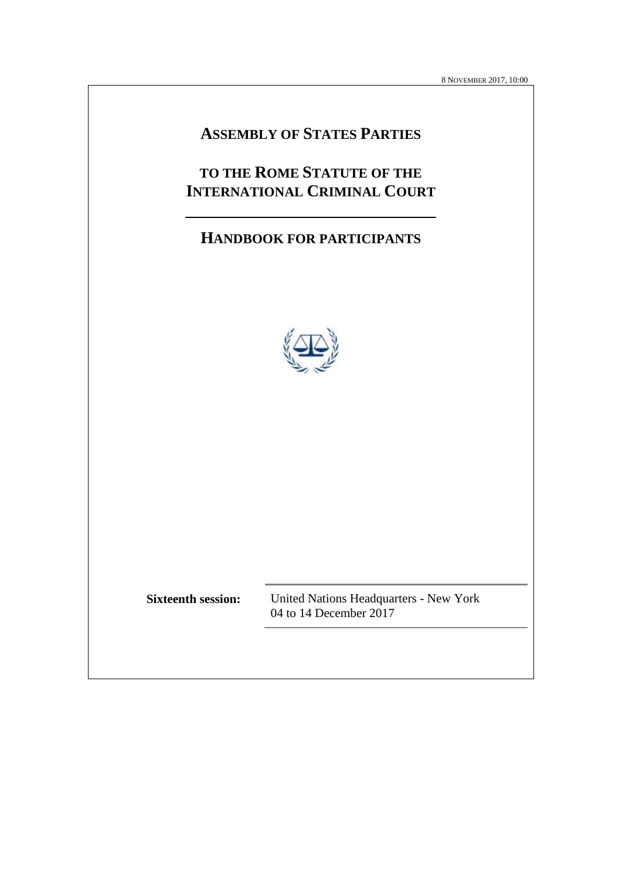8 NOVEMBER 2017, 10:00

# **ASSEMBLY OF STATES PARTIES**

# **TO THE ROME STATUTE OF THE INTERNATIONAL CRIMINAL COURT**

# **HANDBOOK FOR PARTICIPANTS**

**\_\_\_\_\_\_\_\_\_\_\_\_\_\_\_\_\_\_\_\_\_\_\_\_\_\_\_\_\_\_**



**Sixteenth session:** United Nations Headquarters - New York 04 to 14 December 2017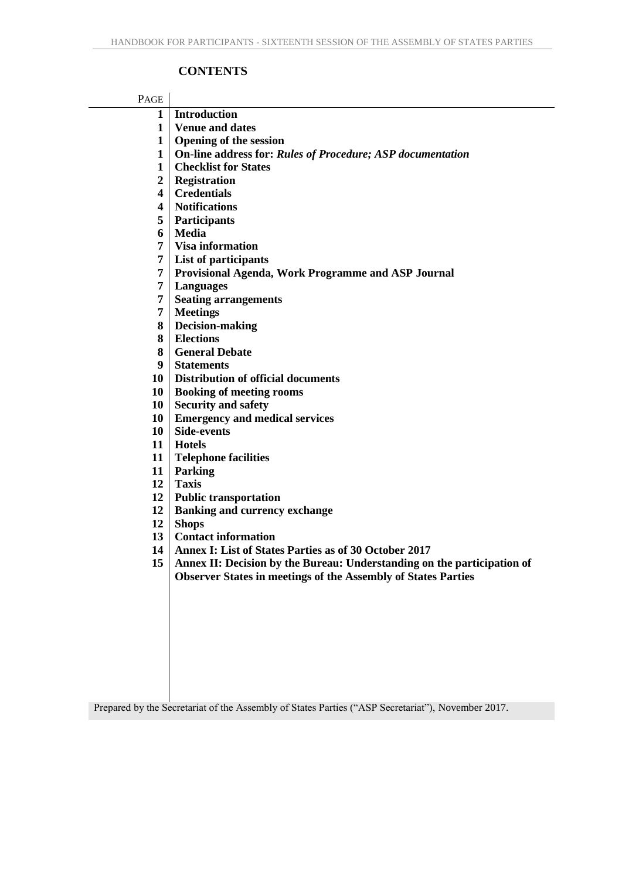# **CONTENTS**

| PAGE            |                                                                         |
|-----------------|-------------------------------------------------------------------------|
| 1               | <b>Introduction</b>                                                     |
|                 | 1 Venue and dates                                                       |
| $1\vert$        | <b>Opening of the session</b>                                           |
| 1 <sup>1</sup>  | On-line address for: Rules of Procedure; ASP documentation              |
|                 | 1   Checklist for States                                                |
|                 | 2   Registration                                                        |
|                 | 4   Credentials                                                         |
|                 | 4   Notifications                                                       |
| 5 <sup>1</sup>  | <b>Participants</b>                                                     |
| 6 <sup>1</sup>  | Media                                                                   |
| 7 I             | Visa information                                                        |
|                 | 7   List of participants                                                |
| 7 I             | <b>Provisional Agenda, Work Programme and ASP Journal</b>               |
| 7 I             | <b>Languages</b>                                                        |
| 7 I             | <b>Seating arrangements</b>                                             |
| 7 I             | <b>Meetings</b>                                                         |
| 8               | <b>Decision-making</b>                                                  |
| 8 <sup>1</sup>  | <b>Elections</b>                                                        |
| 8               | <b>General Debate</b>                                                   |
| 9 <sup>1</sup>  | <b>Statements</b>                                                       |
| 10 <sup>1</sup> | Distribution of official documents                                      |
|                 | 10   Booking of meeting rooms                                           |
| 10 <sup>1</sup> | <b>Security and safety</b>                                              |
| 10 <sup>1</sup> | <b>Emergency and medical services</b>                                   |
| 10 <sup>1</sup> | Side-events                                                             |
|                 | $11$   Hotels                                                           |
|                 | 11   Telephone facilities                                               |
|                 | 11   Parking                                                            |
| 12 <sup>1</sup> | <b>Taxis</b>                                                            |
|                 | 12   Public transportation                                              |
| 12 <sup>1</sup> | <b>Banking and currency exchange</b>                                    |
| 12 <sup>1</sup> | <b>Shops</b>                                                            |
| 13 <sup>1</sup> | <b>Contact information</b>                                              |
| 14              | <b>Annex I: List of States Parties as of 30 October 2017</b>            |
| 15              | Annex II: Decision by the Bureau: Understanding on the participation of |
|                 | <b>Observer States in meetings of the Assembly of States Parties</b>    |
|                 |                                                                         |
|                 |                                                                         |
|                 |                                                                         |
|                 |                                                                         |
|                 |                                                                         |
|                 |                                                                         |
|                 |                                                                         |
|                 |                                                                         |

Prepared by the Secretariat of the Assembly of States Parties ("ASP Secretariat"), November 2017.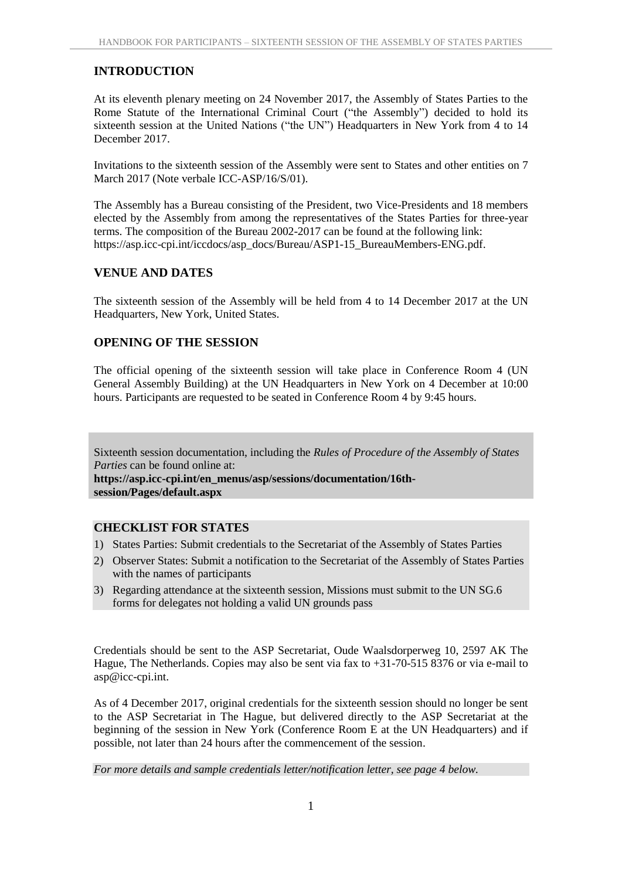# **INTRODUCTION**

At its eleventh plenary meeting on 24 November 2017, the Assembly of States Parties to the Rome Statute of the International Criminal Court ("the Assembly") decided to hold its sixteenth session at the United Nations ("the UN") Headquarters in New York from 4 to 14 December 2017.

Invitations to the sixteenth session of the Assembly were sent to States and other entities on 7 March 2017 (Note verbale ICC-ASP/16/S/01).

The Assembly has a Bureau consisting of the President, two Vice-Presidents and 18 members elected by the Assembly from among the representatives of the States Parties for three-year terms. The composition of the Bureau 2002-2017 can be found at the following link: https://asp.icc-cpi.int/iccdocs/asp\_docs/Bureau/ASP1-15\_BureauMembers-ENG.pdf.

#### **VENUE AND DATES**

The sixteenth session of the Assembly will be held from 4 to 14 December 2017 at the UN Headquarters, New York, United States.

#### **OPENING OF THE SESSION**

The official opening of the sixteenth session will take place in Conference Room 4 (UN General Assembly Building) at the UN Headquarters in New York on 4 December at 10:00 hours. Participants are requested to be seated in Conference Room 4 by 9:45 hours.

Sixteenth session documentation, including the *Rules of Procedure of the Assembly of States Parties* can be found online at:

**https://asp.icc-cpi.int/en\_menus/asp/sessions/documentation/16thsession/Pages/default.aspx**

## **CHECKLIST FOR STATES**

- 1) States Parties: Submit credentials to the Secretariat of the Assembly of States Parties
- 2) Observer States: Submit a notification to the Secretariat of the Assembly of States Parties with the names of participants
- 3) Regarding attendance at the sixteenth session, Missions must submit to the UN SG.6 forms for delegates not holding a valid UN grounds pass

Credentials should be sent to the ASP Secretariat, Oude Waalsdorperweg 10, 2597 AK The Hague, The Netherlands. Copies may also be sent via fax to +31-70-515 8376 or via e-mail to asp@icc-cpi.int.

As of 4 December 2017, original credentials for the sixteenth session should no longer be sent to the ASP Secretariat in The Hague, but delivered directly to the ASP Secretariat at the beginning of the session in New York (Conference Room E at the UN Headquarters) and if possible, not later than 24 hours after the commencement of the session.

*For more details and sample credentials letter/notification letter, see page 4 below.*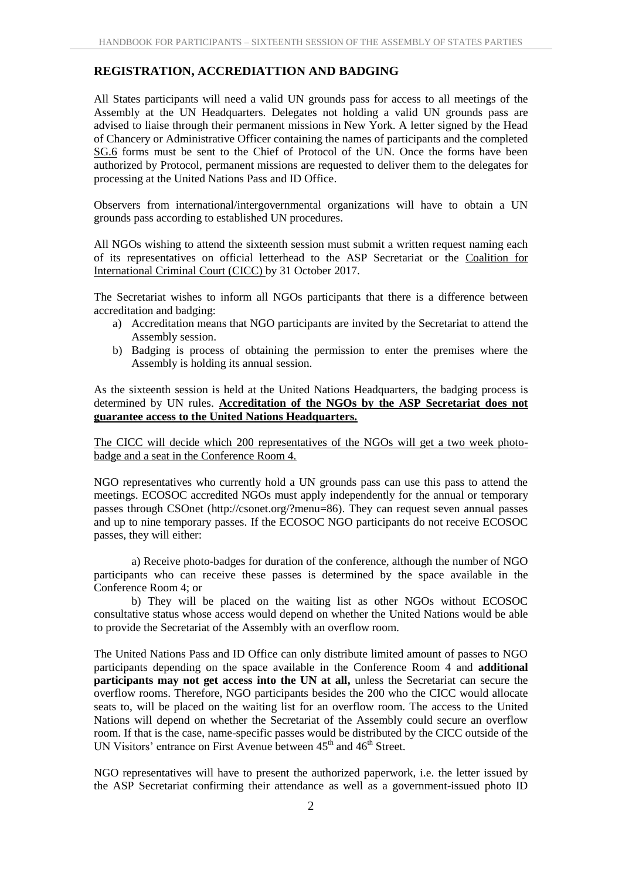# **REGISTRATION, ACCREDIATTION AND BADGING**

All States participants will need a valid UN grounds pass for access to all meetings of the Assembly at the UN Headquarters. Delegates not holding a valid UN grounds pass are advised to liaise through their permanent missions in New York. A letter signed by the Head of Chancery or Administrative Officer containing the names of participants and the completed SG.6 forms must be sent to the Chief of Protocol of the UN. Once the forms have been authorized by Protocol, permanent missions are requested to deliver them to the delegates for processing at the United Nations Pass and ID Office.

Observers from international/intergovernmental organizations will have to obtain a UN grounds pass according to established UN procedures.

All NGOs wishing to attend the sixteenth session must submit a written request naming each of its representatives on official letterhead to the ASP Secretariat or the Coalition for International Criminal Court (CICC) by 31 October 2017.

The Secretariat wishes to inform all NGOs participants that there is a difference between accreditation and badging:

- a) Accreditation means that NGO participants are invited by the Secretariat to attend the Assembly session.
- b) Badging is process of obtaining the permission to enter the premises where the Assembly is holding its annual session.

As the sixteenth session is held at the United Nations Headquarters, the badging process is determined by UN rules. **Accreditation of the NGOs by the ASP Secretariat does not guarantee access to the United Nations Headquarters.**

The CICC will decide which 200 representatives of the NGOs will get a two week photobadge and a seat in the Conference Room 4.

NGO representatives who currently hold a UN grounds pass can use this pass to attend the meetings. ECOSOC accredited NGOs must apply independently for the annual or temporary passes through CSOnet (http://csonet.org/?menu=86). They can request seven annual passes and up to nine temporary passes. If the ECOSOC NGO participants do not receive ECOSOC passes, they will either:

a) Receive photo-badges for duration of the conference, although the number of NGO participants who can receive these passes is determined by the space available in the Conference Room 4; or

b) They will be placed on the waiting list as other NGOs without ECOSOC consultative status whose access would depend on whether the United Nations would be able to provide the Secretariat of the Assembly with an overflow room.

The United Nations Pass and ID Office can only distribute limited amount of passes to NGO participants depending on the space available in the Conference Room 4 and **additional participants may not get access into the UN at all,** unless the Secretariat can secure the overflow rooms. Therefore, NGO participants besides the 200 who the CICC would allocate seats to, will be placed on the waiting list for an overflow room. The access to the United Nations will depend on whether the Secretariat of the Assembly could secure an overflow room. If that is the case, name-specific passes would be distributed by the CICC outside of the UN Visitors' entrance on First Avenue between  $45<sup>th</sup>$  and  $46<sup>th</sup>$  Street.

NGO representatives will have to present the authorized paperwork, i.e. the letter issued by the ASP Secretariat confirming their attendance as well as a government-issued photo ID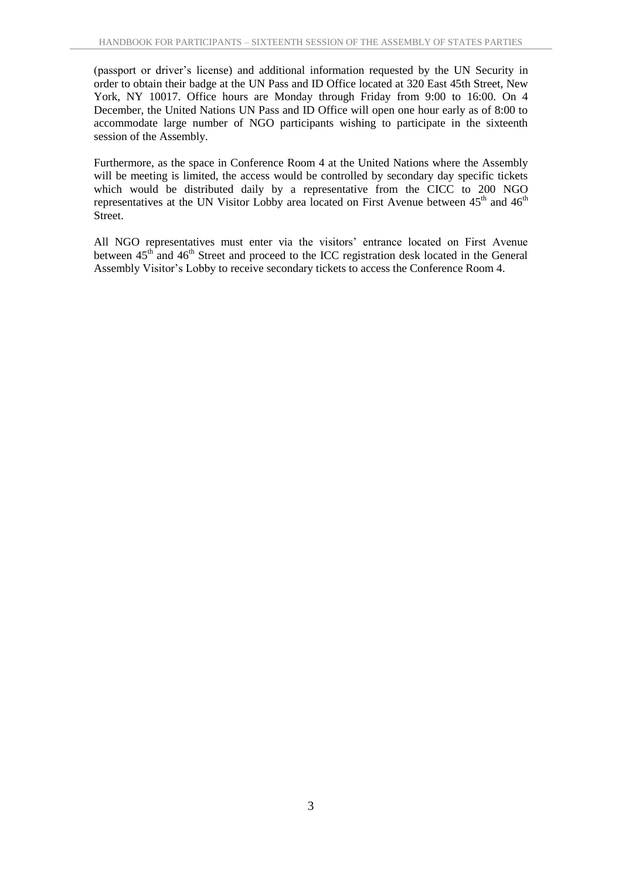(passport or driver's license) and additional information requested by the UN Security in order to obtain their badge at the UN Pass and ID Office located at 320 East 45th Street, New York, NY 10017. Office hours are Monday through Friday from 9:00 to 16:00. On 4 December, the United Nations UN Pass and ID Office will open one hour early as of 8:00 to accommodate large number of NGO participants wishing to participate in the sixteenth session of the Assembly.

Furthermore, as the space in Conference Room 4 at the United Nations where the Assembly will be meeting is limited, the access would be controlled by secondary day specific tickets which would be distributed daily by a representative from the CICC to 200 NGO representatives at the UN Visitor Lobby area located on First Avenue between 45<sup>th</sup> and 46<sup>th</sup> Street.

All NGO representatives must enter via the visitors' entrance located on First Avenue between 45<sup>th</sup> and 46<sup>th</sup> Street and proceed to the ICC registration desk located in the General Assembly Visitor's Lobby to receive secondary tickets to access the Conference Room 4.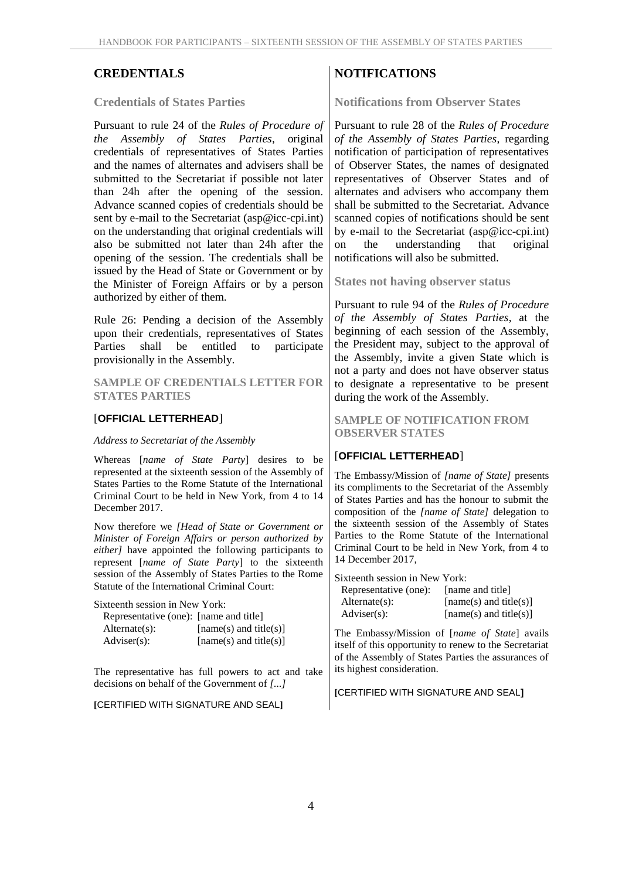#### **Credentials of States Parties**

Pursuant to rule 24 of the *Rules of Procedure of the Assembly of States Parties*, original credentials of representatives of States Parties and the names of alternates and advisers shall be submitted to the Secretariat if possible not later than 24h after the opening of the session. Advance scanned copies of credentials should be sent by e-mail to the Secretariat (asp@icc-cpi.int) on the understanding that original credentials will also be submitted not later than 24h after the opening of the session. The credentials shall be issued by the Head of State or Government or by the Minister of Foreign Affairs or by a person authorized by either of them.

Rule 26: Pending a decision of the Assembly upon their credentials, representatives of States Parties shall be entitled to participate provisionally in the Assembly.

**SAMPLE OF CREDENTIALS LETTER FOR STATES PARTIES** 

#### [**OFFICIAL LETTERHEAD**]

#### *Address to Secretariat of the Assembly*

Whereas [*name of State Party*] desires to be represented at the sixteenth session of the Assembly of States Parties to the Rome Statute of the International Criminal Court to be held in New York, from 4 to 14 December 2017.

Now therefore we *[Head of State or Government or Minister of Foreign Affairs or person authorized by either]* have appointed the following participants to represent [*name of State Party*] to the sixteenth session of the Assembly of States Parties to the Rome Statute of the International Criminal Court:

Sixteenth session in New York:

| Representative (one): [name and title] |                          |
|----------------------------------------|--------------------------|
| $Alternate(s)$ :                       | $[name(s)$ and title(s)] |
| $Adviser(s)$ :                         | [name(s) and title(s)]   |

The representative has full powers to act and take decisions on behalf of the Government of *[...]* 

**[**CERTIFIED WITH SIGNATURE AND SEAL**]**

# **CREDENTIALS NOTIFICATIONS**

**Notifications from Observer States**

Pursuant to rule 28 of the *Rules of Procedure of the Assembly of States Parties*, regarding notification of participation of representatives of Observer States, the names of designated representatives of Observer States and of alternates and advisers who accompany them shall be submitted to the Secretariat. Advance scanned copies of notifications should be sent by e-mail to the Secretariat (asp@icc-cpi.int) on the understanding that original notifications will also be submitted.

**States not having observer status**

Pursuant to rule 94 of the *Rules of Procedure of the Assembly of States Parties*, at the beginning of each session of the Assembly, the President may, subject to the approval of the Assembly, invite a given State which is not a party and does not have observer status to designate a representative to be present during the work of the Assembly.

#### **SAMPLE OF NOTIFICATION FROM OBSERVER STATES**

#### [**OFFICIAL LETTERHEAD**]

The Embassy/Mission of *[name of State]* presents its compliments to the Secretariat of the Assembly of States Parties and has the honour to submit the composition of the *[name of State]* delegation to the sixteenth session of the Assembly of States Parties to the Rome Statute of the International Criminal Court to be held in New York, from 4 to 14 December 2017,

Sixteenth session in New York:

| Representative (one): | [name and title]         |
|-----------------------|--------------------------|
| $Alternate(s)$ :      | [name(s) and title(s)]   |
| Adviser(s):           | $[name(s)$ and title(s)] |

The Embassy/Mission of [*name of State*] avails itself of this opportunity to renew to the Secretariat of the Assembly of States Parties the assurances of its highest consideration.

**[**CERTIFIED WITH SIGNATURE AND SEAL**]**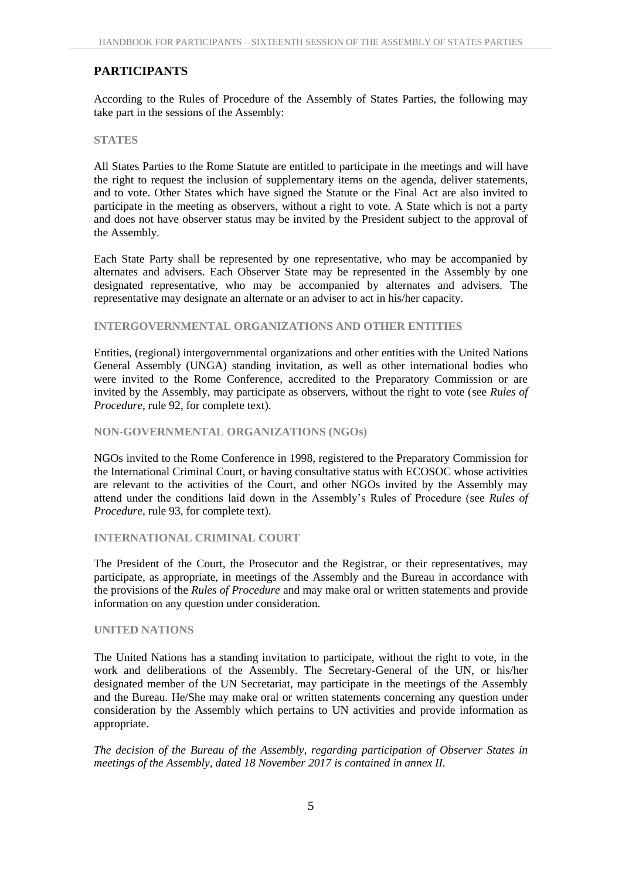# **PARTICIPANTS**

According to the Rules of Procedure of the Assembly of States Parties, the following may take part in the sessions of the Assembly:

#### **STATES**

All States Parties to the Rome Statute are entitled to participate in the meetings and will have the right to request the inclusion of supplementary items on the agenda, deliver statements, and to vote. Other States which have signed the Statute or the Final Act are also invited to participate in the meeting as observers, without a right to vote. A State which is not a party and does not have observer status may be invited by the President subject to the approval of the Assembly.

Each State Party shall be represented by one representative, who may be accompanied by alternates and advisers. Each Observer State may be represented in the Assembly by one designated representative, who may be accompanied by alternates and advisers. The representative may designate an alternate or an adviser to act in his/her capacity.

# **INTERGOVERNMENTAL ORGANIZATIONS AND OTHER ENTITIES**

Entities, (regional) intergovernmental organizations and other entities with the United Nations General Assembly (UNGA) standing invitation, as well as other international bodies who were invited to the Rome Conference, accredited to the Preparatory Commission or are invited by the Assembly, may participate as observers, without the right to vote (see *Rules of Procedure*, rule 92, for complete text).

#### **NON-GOVERNMENTAL ORGANIZATIONS (NGOs)**

NGOs invited to the Rome Conference in 1998, registered to the Preparatory Commission for the International Criminal Court, or having consultative status with ECOSOC whose activities are relevant to the activities of the Court, and other NGOs invited by the Assembly may attend under the conditions laid down in the Assembly's Rules of Procedure (see *Rules of Procedure*, rule 93, for complete text).

#### **INTERNATIONAL CRIMINAL COURT**

The President of the Court, the Prosecutor and the Registrar, or their representatives, may participate, as appropriate, in meetings of the Assembly and the Bureau in accordance with the provisions of the *Rules of Procedure* and may make oral or written statements and provide information on any question under consideration.

#### **UNITED NATIONS**

The United Nations has a standing invitation to participate, without the right to vote, in the work and deliberations of the Assembly. The Secretary-General of the UN, or his/her designated member of the UN Secretariat, may participate in the meetings of the Assembly and the Bureau. He/She may make oral or written statements concerning any question under consideration by the Assembly which pertains to UN activities and provide information as appropriate.

*The decision of the Bureau of the Assembly, regarding participation of Observer States in meetings of the Assembly, dated 18 November 2017 is contained in annex II.*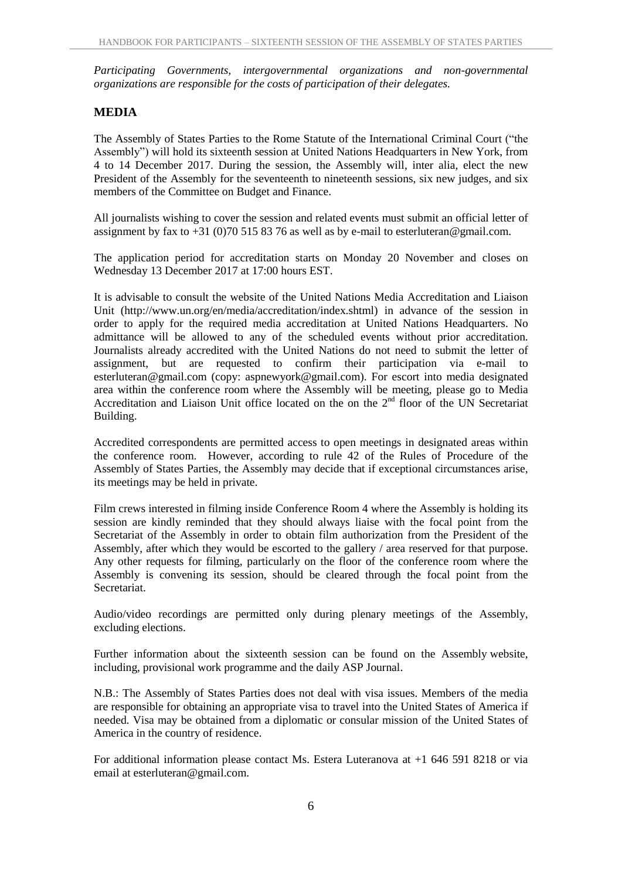*Participating Governments, intergovernmental organizations and non-governmental organizations are responsible for the costs of participation of their delegates.*

# **MEDIA**

The Assembly of States Parties to the Rome Statute of the International Criminal Court ("the Assembly") will hold its sixteenth session at United Nations Headquarters in New York, from 4 to 14 December 2017. During the session, the Assembly will, inter alia, elect the new President of the Assembly for the seventeenth to nineteenth sessions, six new judges, and six members of the Committee on Budget and Finance.

All journalists wishing to cover the session and related events must submit an official letter of assignment by fax to  $+31$  (0)70 515 83 76 as well as by e-mail to esterluteran@gmail.com.

The application period for accreditation starts on Monday 20 November and closes on Wednesday 13 December 2017 at 17:00 hours EST.

It is advisable to consult the website of the United Nations Media Accreditation and Liaison Unit (http://www.un.org/en/media/accreditation/index.shtml) in advance of the session in order to apply for the required media accreditation at United Nations Headquarters. No admittance will be allowed to any of the scheduled events without prior accreditation. Journalists already accredited with the United Nations do not need to submit the letter of assignment, but are requested to confirm their participation via e-mail to esterluteran@gmail.com (copy: aspnewyork@gmail.com). For escort into media designated area within the conference room where the Assembly will be meeting, please go to Media Accreditation and Liaison Unit office located on the on the  $2<sup>nd</sup>$  floor of the UN Secretariat Building.

Accredited correspondents are permitted access to open meetings in designated areas within the conference room. However, according to rule 42 of the Rules of Procedure of the Assembly of States Parties, the Assembly may decide that if exceptional circumstances arise, its meetings may be held in private.

Film crews interested in filming inside Conference Room 4 where the Assembly is holding its session are kindly reminded that they should always liaise with the focal point from the Secretariat of the Assembly in order to obtain film authorization from the President of the Assembly, after which they would be escorted to the gallery / area reserved for that purpose. Any other requests for filming, particularly on the floor of the conference room where the Assembly is convening its session, should be cleared through the focal point from the Secretariat.

Audio/video recordings are permitted only during plenary meetings of the Assembly, excluding elections.

Further information about the sixteenth session can be found on the Assembly website, including, provisional work programme and the daily ASP Journal.

N.B.: The Assembly of States Parties does not deal with visa issues. Members of the media are responsible for obtaining an appropriate visa to travel into the United States of America if needed. Visa may be obtained from a diplomatic or consular mission of the United States of America in the country of residence.

For additional information please contact Ms. Estera Luteranova at +1 646 591 8218 or via email at esterluteran@gmail.com.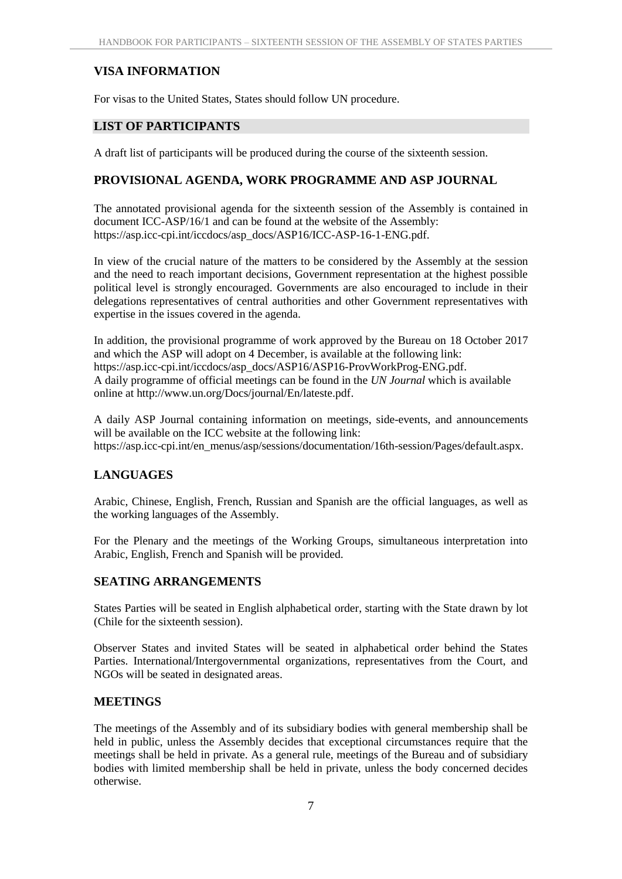# **VISA INFORMATION**

For visas to the United States, States should follow UN procedure.

#### **LIST OF PARTICIPANTS**

A draft list of participants will be produced during the course of the sixteenth session.

#### **PROVISIONAL AGENDA, WORK PROGRAMME AND ASP JOURNAL**

The annotated provisional agenda for the sixteenth session of the Assembly is contained in document ICC-ASP/16/1 and can be found at the website of the Assembly: https://asp.icc-cpi.int/iccdocs/asp\_docs/ASP16/ICC-ASP-16-1-ENG.pdf.

In view of the crucial nature of the matters to be considered by the Assembly at the session and the need to reach important decisions, Government representation at the highest possible political level is strongly encouraged. Governments are also encouraged to include in their delegations representatives of central authorities and other Government representatives with expertise in the issues covered in the agenda.

In addition, the provisional programme of work approved by the Bureau on 18 October 2017 and which the ASP will adopt on 4 December, is available at the following link: https://asp.icc-cpi.int/iccdocs/asp\_docs/ASP16/ASP16-ProvWorkProg-ENG.pdf. A daily programme of official meetings can be found in the *UN Journal* which is available online at [http://www.un.org/Docs/journal/En/lateste.pdf.](http://www.un.org/Docs/journal/En/lateste.pdf)

A daily ASP Journal containing information on meetings, side-events, and announcements will be available on the ICC website at the following link: https://asp.icc-cpi.int/en\_menus/asp/sessions/documentation/16th-session/Pages/default.aspx.

## **LANGUAGES**

Arabic, Chinese, English, French, Russian and Spanish are the official languages, as well as the working languages of the Assembly.

For the Plenary and the meetings of the Working Groups, simultaneous interpretation into Arabic, English, French and Spanish will be provided.

#### **SEATING ARRANGEMENTS**

States Parties will be seated in English alphabetical order, starting with the State drawn by lot (Chile for the sixteenth session).

Observer States and invited States will be seated in alphabetical order behind the States Parties. International/Intergovernmental organizations, representatives from the Court, and NGOs will be seated in designated areas.

## **MEETINGS**

The meetings of the Assembly and of its subsidiary bodies with general membership shall be held in public, unless the Assembly decides that exceptional circumstances require that the meetings shall be held in private. As a general rule, meetings of the Bureau and of subsidiary bodies with limited membership shall be held in private, unless the body concerned decides otherwise.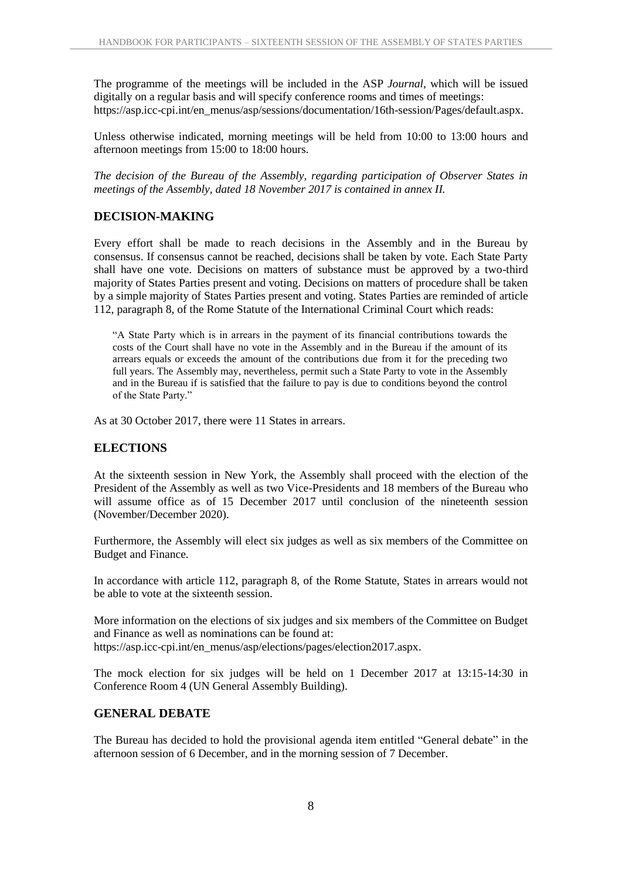The programme of the meetings will be included in the ASP *Journal*, which will be issued digitally on a regular basis and will specify conference rooms and times of meetings: https://asp.icc-cpi.int/en\_menus/asp/sessions/documentation/16th-session/Pages/default.aspx.

Unless otherwise indicated, morning meetings will be held from 10:00 to 13:00 hours and afternoon meetings from 15:00 to 18:00 hours.

*The decision of the Bureau of the Assembly, regarding participation of Observer States in meetings of the Assembly, dated 18 November 2017 is contained in annex II.*

# **DECISION-MAKING**

Every effort shall be made to reach decisions in the Assembly and in the Bureau by consensus. If consensus cannot be reached, decisions shall be taken by vote. Each State Party shall have one vote. Decisions on matters of substance must be approved by a two-third majority of States Parties present and voting. Decisions on matters of procedure shall be taken by a simple majority of States Parties present and voting. States Parties are reminded of article 112, paragraph 8, of the Rome Statute of the International Criminal Court which reads:

"A State Party which is in arrears in the payment of its financial contributions towards the costs of the Court shall have no vote in the Assembly and in the Bureau if the amount of its arrears equals or exceeds the amount of the contributions due from it for the preceding two full years. The Assembly may, nevertheless, permit such a State Party to vote in the Assembly and in the Bureau if is satisfied that the failure to pay is due to conditions beyond the control of the State Party."

As at 30 October 2017, there were 11 States in arrears.

#### **ELECTIONS**

At the sixteenth session in New York, the Assembly shall proceed with the election of the President of the Assembly as well as two Vice-Presidents and 18 members of the Bureau who will assume office as of 15 December 2017 until conclusion of the nineteenth session (November/December 2020).

Furthermore, the Assembly will elect six judges as well as six members of the Committee on Budget and Finance*.*

In accordance with article 112, paragraph 8, of the Rome Statute, States in arrears would not be able to vote at the sixteenth session.

More information on the elections of six judges and six members of the Committee on Budget and Finance as well as nominations can be found at: https://asp.icc-cpi.int/en\_menus/asp/elections/pages/election2017.aspx.

The mock election for six judges will be held on 1 December 2017 at 13:15-14:30 in Conference Room 4 (UN General Assembly Building).

# **GENERAL DEBATE**

The Bureau has decided to hold the provisional agenda item entitled "General debate" in the afternoon session of 6 December, and in the morning session of 7 December.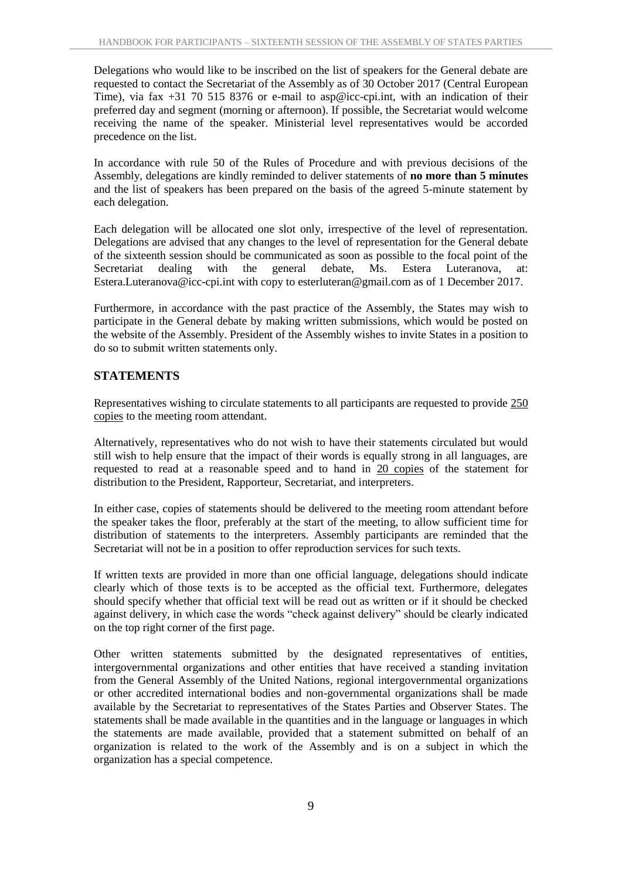Delegations who would like to be inscribed on the list of speakers for the General debate are requested to contact the Secretariat of the Assembly as of 30 October 2017 (Central European Time), via fax +31 70 515 8376 or e-mail to asp@icc-cpi.int, with an indication of their preferred day and segment (morning or afternoon). If possible, the Secretariat would welcome receiving the name of the speaker. Ministerial level representatives would be accorded precedence on the list.

In accordance with rule 50 of the Rules of Procedure and with previous decisions of the Assembly, delegations are kindly reminded to deliver statements of **no more than 5 minutes** and the list of speakers has been prepared on the basis of the agreed 5-minute statement by each delegation.

Each delegation will be allocated one slot only, irrespective of the level of representation. Delegations are advised that any changes to the level of representation for the General debate of the sixteenth session should be communicated as soon as possible to the focal point of the Secretariat dealing with the general debate, Ms. Estera Luteranova, at: Estera.Luteranova@icc-cpi.int with copy to esterluteran@gmail.com as of 1 December 2017.

Furthermore, in accordance with the past practice of the Assembly, the States may wish to participate in the General debate by making written submissions, which would be posted on the website of the Assembly. President of the Assembly wishes to invite States in a position to do so to submit written statements only.

# **STATEMENTS**

Representatives wishing to circulate statements to all participants are requested to provide 250 copies to the meeting room attendant.

Alternatively, representatives who do not wish to have their statements circulated but would still wish to help ensure that the impact of their words is equally strong in all languages, are requested to read at a reasonable speed and to hand in 20 copies of the statement for distribution to the President, Rapporteur, Secretariat, and interpreters.

In either case, copies of statements should be delivered to the meeting room attendant before the speaker takes the floor, preferably at the start of the meeting, to allow sufficient time for distribution of statements to the interpreters. Assembly participants are reminded that the Secretariat will not be in a position to offer reproduction services for such texts.

If written texts are provided in more than one official language, delegations should indicate clearly which of those texts is to be accepted as the official text. Furthermore, delegates should specify whether that official text will be read out as written or if it should be checked against delivery, in which case the words "check against delivery" should be clearly indicated on the top right corner of the first page.

Other written statements submitted by the designated representatives of entities, intergovernmental organizations and other entities that have received a standing invitation from the General Assembly of the United Nations, regional intergovernmental organizations or other accredited international bodies and non-governmental organizations shall be made available by the Secretariat to representatives of the States Parties and Observer States. The statements shall be made available in the quantities and in the language or languages in which the statements are made available, provided that a statement submitted on behalf of an organization is related to the work of the Assembly and is on a subject in which the organization has a special competence.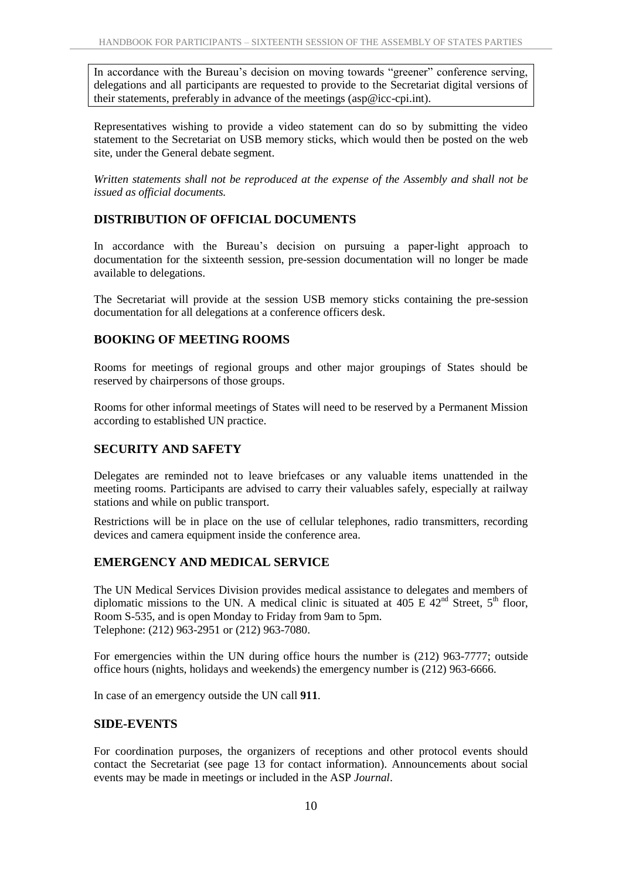In accordance with the Bureau's decision on moving towards "greener" conference serving, delegations and all participants are requested to provide to the Secretariat digital versions of their statements, preferably in advance of the meetings (asp@icc-cpi.int).

Representatives wishing to provide a video statement can do so by submitting the video statement to the Secretariat on USB memory sticks, which would then be posted on the web site, under the General debate segment.

*Written statements shall not be reproduced at the expense of the Assembly and shall not be issued as official documents.*

# **DISTRIBUTION OF OFFICIAL DOCUMENTS**

In accordance with the Bureau's decision on pursuing a paper-light approach to documentation for the sixteenth session, pre-session documentation will no longer be made available to delegations.

The Secretariat will provide at the session USB memory sticks containing the pre-session documentation for all delegations at a conference officers desk.

# **BOOKING OF MEETING ROOMS**

Rooms for meetings of regional groups and other major groupings of States should be reserved by chairpersons of those groups.

Rooms for other informal meetings of States will need to be reserved by a Permanent Mission according to established UN practice.

# **SECURITY AND SAFETY**

Delegates are reminded not to leave briefcases or any valuable items unattended in the meeting rooms. Participants are advised to carry their valuables safely, especially at railway stations and while on public transport.

Restrictions will be in place on the use of cellular telephones, radio transmitters, recording devices and camera equipment inside the conference area.

# **EMERGENCY AND MEDICAL SERVICE**

The UN Medical Services Division provides medical assistance to delegates and members of diplomatic missions to the UN. A medical clinic is situated at 405 E  $42<sup>nd</sup>$  Street,  $5<sup>th</sup>$  floor, Room S-535, and is open Monday to Friday from 9am to 5pm. Telephone: (212) 963-2951 or (212) 963-7080.

For emergencies within the UN during office hours the number is (212) 963-7777; outside office hours (nights, holidays and weekends) the emergency number is (212) 963-6666.

In case of an emergency outside the UN call **911**.

#### **SIDE-EVENTS**

For coordination purposes, the organizers of receptions and other protocol events should contact the Secretariat (see page 13 for contact information). Announcements about social events may be made in meetings or included in the ASP *Journal*.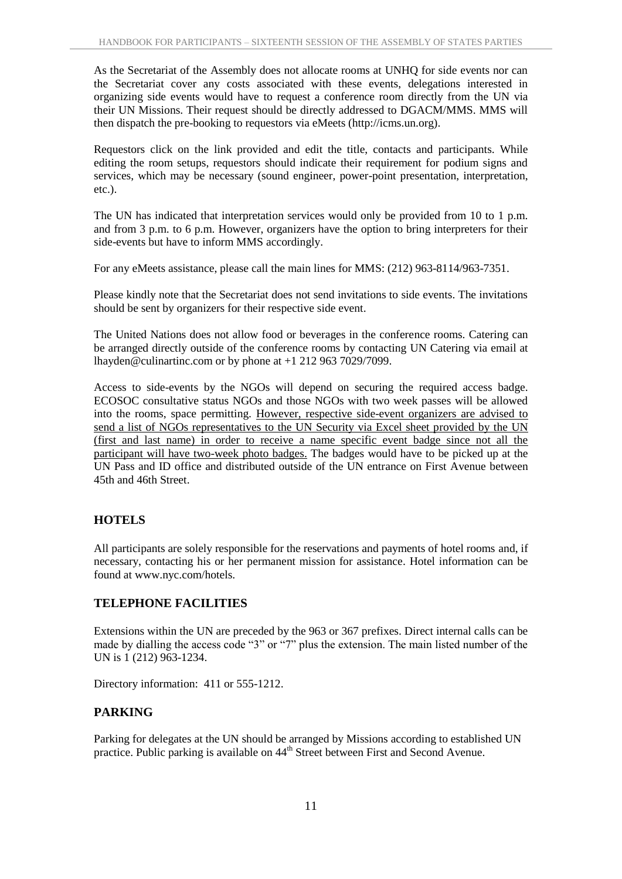As the Secretariat of the Assembly does not allocate rooms at UNHQ for side events nor can the Secretariat cover any costs associated with these events, delegations interested in organizing side events would have to request a conference room directly from the UN via their UN Missions. Their request should be directly addressed to DGACM/MMS. MMS will then dispatch the pre-booking to requestors via eMeets (http://icms.un.org).

Requestors click on the link provided and edit the title, contacts and participants. While editing the room setups, requestors should indicate their requirement for podium signs and services, which may be necessary (sound engineer, power-point presentation, interpretation, etc.).

The UN has indicated that interpretation services would only be provided from 10 to 1 p.m. and from 3 p.m. to 6 p.m. However, organizers have the option to bring interpreters for their side-events but have to inform MMS accordingly.

For any eMeets assistance, please call the main lines for MMS: (212) 963-8114/963-7351.

Please kindly note that the Secretariat does not send invitations to side events. The invitations should be sent by organizers for their respective side event.

The United Nations does not allow food or beverages in the conference rooms. Catering can be arranged directly outside of the conference rooms by contacting UN Catering via email at lhayden@culinartinc.com or by phone at +1 212 963 7029/7099.

Access to side-events by the NGOs will depend on securing the required access badge. ECOSOC consultative status NGOs and those NGOs with two week passes will be allowed into the rooms, space permitting. However, respective side-event organizers are advised to send a list of NGOs representatives to the UN Security via Excel sheet provided by the UN (first and last name) in order to receive a name specific event badge since not all the participant will have two-week photo badges. The badges would have to be picked up at the UN Pass and ID office and distributed outside of the UN entrance on First Avenue between 45th and 46th Street.

# **HOTELS**

All participants are solely responsible for the reservations and payments of hotel rooms and, if necessary, contacting his or her permanent mission for assistance. Hotel information can be found at www.nyc.com/hotels.

# **TELEPHONE FACILITIES**

Extensions within the UN are preceded by the 963 or 367 prefixes. Direct internal calls can be made by dialling the access code "3" or "7" plus the extension. The main listed number of the UN is 1 (212) 963-1234.

Directory information: 411 or 555-1212.

# **PARKING**

Parking for delegates at the UN should be arranged by Missions according to established UN practice. Public parking is available on 44<sup>th</sup> Street between First and Second Avenue.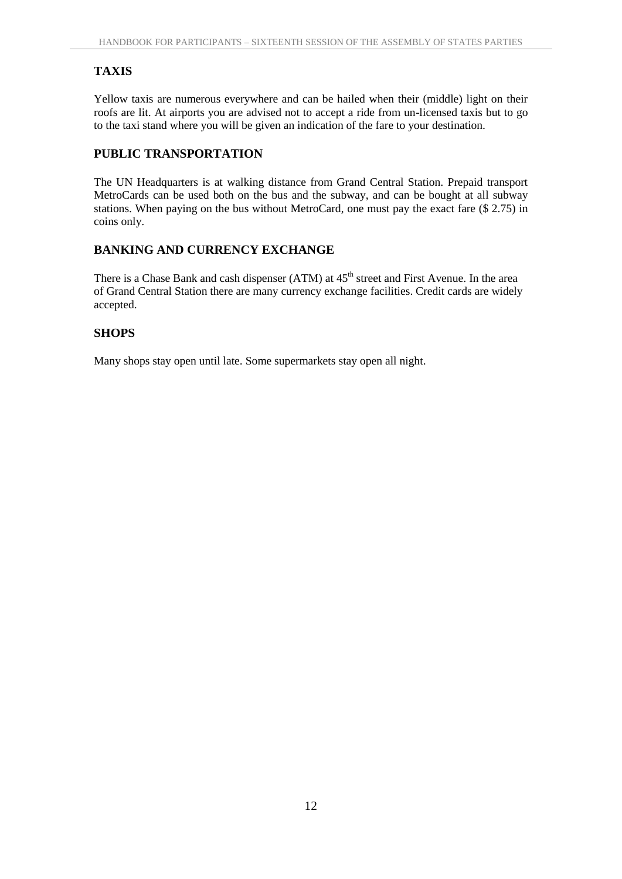# **TAXIS**

Yellow taxis are numerous everywhere and can be hailed when their (middle) light on their roofs are lit. At airports you are advised not to accept a ride from un-licensed taxis but to go to the taxi stand where you will be given an indication of the fare to your destination.

# **PUBLIC TRANSPORTATION**

The UN Headquarters is at walking distance from Grand Central Station. Prepaid transport MetroCards can be used both on the bus and the subway, and can be bought at all subway stations. When paying on the bus without MetroCard, one must pay the exact fare (\$ 2.75) in coins only.

# **BANKING AND CURRENCY EXCHANGE**

There is a Chase Bank and cash dispenser (ATM) at  $45<sup>th</sup>$  street and First Avenue. In the area of Grand Central Station there are many currency exchange facilities. Credit cards are widely accepted.

# **SHOPS**

Many shops stay open until late. Some supermarkets stay open all night.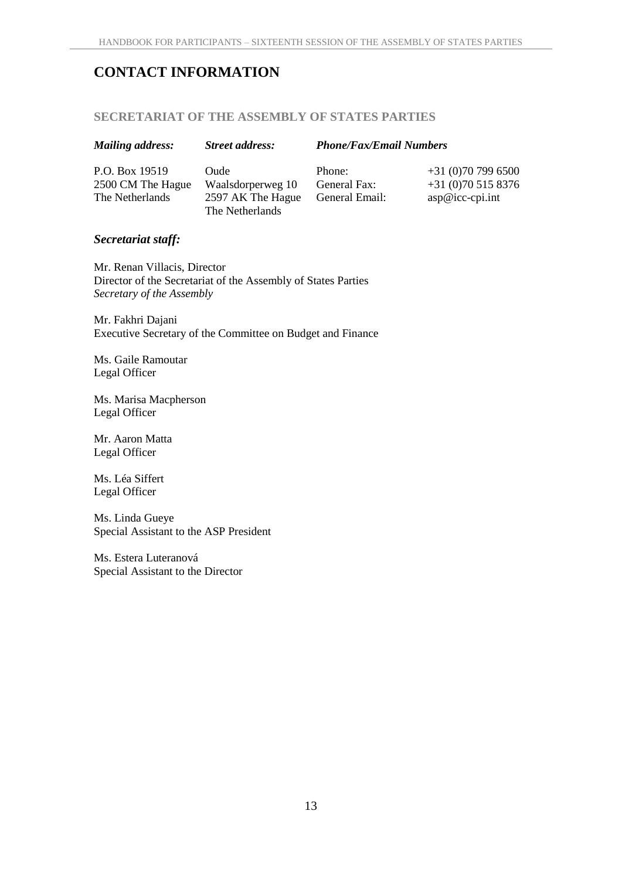# **CONTACT INFORMATION**

## **SECRETARIAT OF THE ASSEMBLY OF STATES PARTIES**

| <b>Mailing address:</b> | <b>Street address:</b>               | <b>Phone/Fax/Email Numbers</b> |                   |
|-------------------------|--------------------------------------|--------------------------------|-------------------|
| P.O. Box 19519          | Oude                                 | Phone:                         | $+31(0)707996500$ |
| 2500 CM The Hague       | Waalsdorperweg 10                    | General Fax:                   | $+31(0)705158376$ |
| The Netherlands         | 2597 AK The Hague<br>The Netherlands | General Email:                 | $asp@icc-cpi.int$ |

#### *Secretariat staff:*

Mr. Renan Villacis, Director Director of the Secretariat of the Assembly of States Parties *Secretary of the Assembly*

Mr. Fakhri Dajani Executive Secretary of the Committee on Budget and Finance

Ms. Gaile Ramoutar Legal Officer

Ms. Marisa Macpherson Legal Officer

Mr. Aaron Matta Legal Officer

Ms. Léa Siffert Legal Officer

Ms. Linda Gueye Special Assistant to the ASP President

Ms. Estera Luteranová Special Assistant to the Director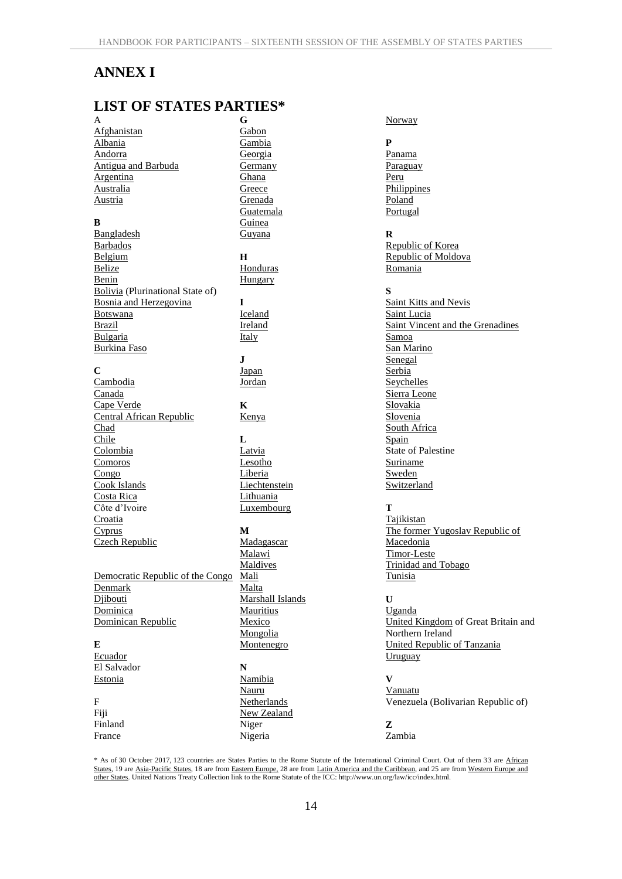# **ANNEX I**

# **LIST OF STATES PARTIES\***

|                                  | G                 |
|----------------------------------|-------------------|
| <u>Afghanistan</u>               | Gabon             |
| Albania                          | Gambia            |
| <b>Andorra</b>                   | <u>Georgia</u>    |
| Antigua and Barbuda              | Germany           |
| Argentina                        | Ghana             |
| Australia                        | Greece            |
| <u>Austria</u>                   | <u>Grenada</u>    |
|                                  | <b>Guatemala</b>  |
| B                                | Guinea            |
| Bangladesh                       | Guyana            |
| Barbados                         |                   |
| <b>Belgium</b>                   | H                 |
| <b>Belize</b>                    | Honduras          |
|                                  |                   |
| <u>Benin</u>                     | <u>Hungary</u>    |
| Bolivia (Plurinational State of) |                   |
| <b>Bosnia and Herzegovina</b>    | I                 |
| <b>Botswana</b>                  | Iceland           |
| <b>Brazil</b>                    | Ireland           |
| <u>Bulgaria</u>                  | <b>Italy</b>      |
| <b>Burkina Faso</b>              |                   |
|                                  | J.                |
| $\mathbf C$                      | <b>Japan</b>      |
| Cambodia                         | Jordan            |
| Canada                           |                   |
| Cape Verde                       | Κ                 |
| <b>Central African Republic</b>  | <u>Kenya</u>      |
| Chad                             |                   |
| Chile                            | L                 |
| Colombia                         | <b>Latvia</b>     |
| <b>Comoros</b>                   | Lesotho           |
| Congo                            | <u>Liberia</u>    |
| <b>Cook Islands</b>              | Liechtenstein     |
| Costa Rica                       | <u>Lithuania</u>  |
| Côte d'Ivoire                    | Luxembourg        |
| Croatia                          |                   |
|                                  |                   |
|                                  |                   |
| <b>Cyprus</b>                    | М                 |
| Czech Republic                   | <b>Madagascar</b> |
|                                  | Malawi            |
|                                  | Maldives          |
| Democratic Republic of the Congo | <u>Mali</u>       |
| <u>Denmark</u>                   | <u>Malta</u>      |
| Djibouti                         | Marshall Islands  |
| Dominica                         | <b>Mauritius</b>  |
| Dominican Republic               | Mexico            |
|                                  | Mongolia          |
| E                                | <u>Montenegro</u> |
| <b>Ecuador</b>                   |                   |
| El Salvador                      | N                 |
| Estonia                          | <b>Namibia</b>    |
|                                  | <b>Nauru</b>      |
| F                                | Netherlands       |
| Fiji                             | New Zealand       |
| Finland                          | Niger<br>Nigeria  |

**[Norway](http://icc-cpi.int/Menus/ASP/states+parties/Western+European+and+Other+States/Norway.htm)** 

#### **P**

[Panama](http://icc-cpi.int/Menus/ASP/states+parties/Latin+American+and+Caribbean+States/Panama.htm) **[Paraguay](http://icc-cpi.int/Menus/ASP/states+parties/Latin+American+and+Caribbean+States/Paraguay.htm)** [Peru](http://icc-cpi.int/Menus/ASP/states+parties/Latin+American+and+Caribbean+States/Peru.htm) **[Philippines](http://icc-cpi.int/Menus/ASP/states+parties/Asian+States/Philippines.htm)** [Poland](http://icc-cpi.int/Menus/ASP/states+parties/Eastern+European+States/Poland.htm) [Portugal](http://icc-cpi.int/Menus/ASP/states+parties/Western+European+and+Other+States/Portugal.htm)

#### **R**

[Republic of Korea](http://icc-cpi.int/Menus/ASP/states+parties/Asian+States/Republic+of+Korea.htm) [Republic of Moldova](http://icc-cpi.int/Menus/ASP/states+parties/Eastern+European+States/Moldova.htm) [Romania](http://icc-cpi.int/Menus/ASP/states+parties/Eastern+European+States/Romania.htm)

#### **S**

[Saint Kitts and Nevis](http://icc-cpi.int/Menus/ASP/states+parties/Latin+American+and+Caribbean+States/Saint+Kitts+and+Nevis.htm) [Saint Lucia](http://icc-cpi.int/Menus/ASP/states+parties/Latin+American+and+Caribbean+States/Saint+Lucia.htm) [Saint Vincent and the Grenadines](http://icc-cpi.int/Menus/ASP/states+parties/Latin+American+and+Caribbean+States/Saint+Vincent+and+the+Grenadines.htm) [Samoa](http://icc-cpi.int/Menus/ASP/states+parties/Asian+States/Samoa.htm) [San Marino](http://icc-cpi.int/Menus/ASP/states+parties/Western+European+and+Other+States/San+Marino.htm) **[Senegal](http://icc-cpi.int/Menus/ASP/states+parties/African+States/Senegal.htm) [Serbia](http://icc-cpi.int/Menus/ASP/states+parties/Eastern+European+States/Serbia.htm) [Seychelles](http://icc-cpi.int/Menus/ASP/states+parties/African+States/Seychelles.htm)** [Sierra Leone](http://icc-cpi.int/Menus/ASP/states+parties/African+States/Sierra+Leone.htm) [Slovakia](http://icc-cpi.int/Menus/ASP/states+parties/Eastern+European+States/Slovakia.htm) [Slovenia](http://icc-cpi.int/Menus/ASP/states+parties/Eastern+European+States/Slovenia.htm) [South Africa](http://icc-cpi.int/Menus/ASP/states+parties/African+States/South+Africa.htm) [Spain](http://icc-cpi.int/Menus/ASP/states+parties/Western+European+and+Other+States/Spain.htm) State of Palestine [Suriname](http://icc-cpi.int/Menus/ASP/states+parties/Latin+American+and+Caribbean+States/Surinam.htm) [Sweden](http://icc-cpi.int/Menus/ASP/states+parties/Western+European+and+Other+States/Sweden.htm) **[Switzerland](http://icc-cpi.int/Menus/ASP/states+parties/Western+European+and+Other+States/Switzerland.htm)** 

#### **T**

[Tajikistan](http://icc-cpi.int/Menus/ASP/states+parties/Asian+States/Tajikistan.htm) [The former Yugoslav Republic of](http://icc-cpi.int/Menus/ASP/states+parties/Eastern+European+States/The+Former+Yugoslav+Republic+of+Macedonia.htm)  [Macedonia](http://icc-cpi.int/Menus/ASP/states+parties/Eastern+European+States/The+Former+Yugoslav+Republic+of+Macedonia.htm) [Timor-Leste](http://icc-cpi.int/Menus/ASP/states+parties/Asian+States/Timor+Leste.htm) [Trinidad and Tobago](http://icc-cpi.int/Menus/ASP/states+parties/Latin+American+and+Caribbean+States/Trinidad+and+Tobago.htm) [Tunisia](http://icc-cpi.int/Menus/ASP/states+parties/African+States/Tunisia.htm)

## **U**

[Uganda](http://icc-cpi.int/Menus/ASP/states+parties/African+States/Uganda.htm) [United Kingdom](http://icc-cpi.int/Menus/ASP/states+parties/Western+European+and+Other+States/United+Kingdom.htm) of Great Britain and Northern Ireland [United Republic](http://icc-cpi.int/Menus/ASP/states+parties/African+States/United+Republic+of+Tanzania.htm) of Tanzania [Uruguay](http://icc-cpi.int/Menus/ASP/states+parties/Latin+American+and+Caribbean+States/Uruguay.htm)

## **V**

[Vanuatu](http://icc-cpi.int/Menus/ASP/states+parties/Asian+States/Vanuatu.htm) Venezuela (Bolivarian Republic of)

**Z** Zambia

\* As of 30 October 2017, 123 countries are States Parties to the Rome Statute of the International Criminal Court. Out of them 33 are African [States,](http://www.icc-cpi.int/region&id=3.html) 19 ar[e Asia-Pacific States,](http://www.icc-cpi.int/region&id=4.html) 18 are fro[m Eastern Europe,](http://www.icc-cpi.int/region&id=2.html) 28 are fro[m Latin America and the Caribbean,](http://www.icc-cpi.int/region&id=5.html) and 25 are from Western Europe and [other States.](http://www.icc-cpi.int/region&id=1.html) United Nations Treaty Collection link to the Rome Statute of the ICC: http://www.un.org/law/icc/index.html.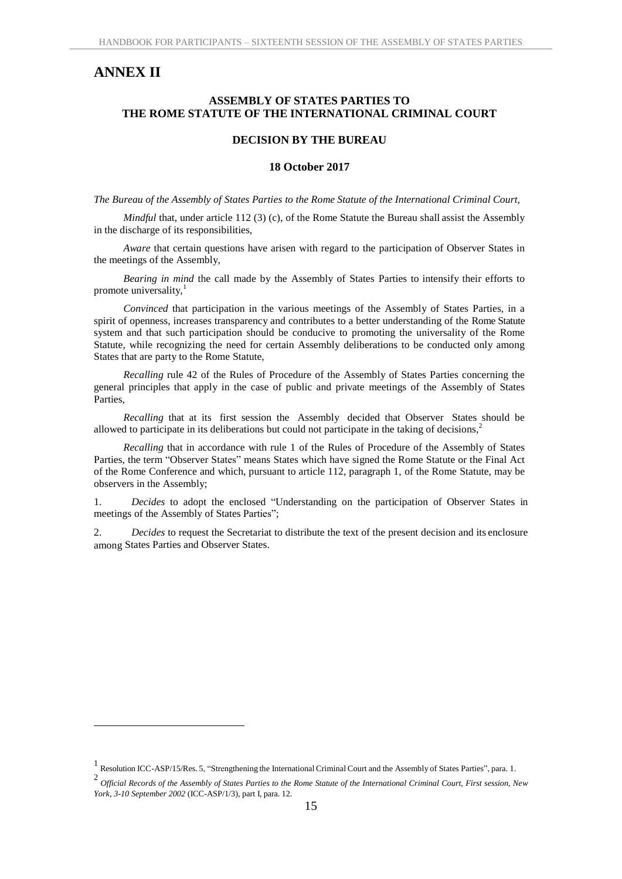# **ANNEX II**

 $\overline{a}$ 

#### **ASSEMBLY OF STATES PARTIES TO THE ROME STATUTE OF THE INTERNATIONAL CRIMINAL COURT**

#### **DECISION BY THE BUREAU**

#### **18 October 2017**

*The Bureau of the Assembly of States Parties to the Rome Statute of the International Criminal Court,*

*Mindful* that, under article 112 (3) (c), of the Rome Statute the Bureau shall assist the Assembly in the discharge of its responsibilities,

*Aware* that certain questions have arisen with regard to the participation of Observer States in the meetings of the Assembly,

*Bearing in mind* the call made by the Assembly of States Parties to intensify their efforts to promote universality,<sup>1</sup>

*Convinced* that participation in the various meetings of the Assembly of States Parties, in a spirit of openness, increases transparency and contributes to a better understanding of the Rome Statute system and that such participation should be conducive to promoting the universality of the Rome Statute, while recognizing the need for certain Assembly deliberations to be conducted only among States that are party to the Rome Statute,

*Recalling* rule 42 of the Rules of Procedure of the Assembly of States Parties concerning the general principles that apply in the case of public and private meetings of the Assembly of States Parties,

*Recalling* that at its first session the Assembly decided that Observer States should be allowed to participate in its deliberations but could not participate in the taking of decisions, 2

*Recalling* that in accordance with rule 1 of the Rules of Procedure of the Assembly of States Parties, the term "Observer States" means States which have signed the Rome Statute or the Final Act of the Rome Conference and which, pursuant to article 112, paragraph 1, of the Rome Statute, may be observers in the Assembly;

1. *Decides* to adopt the enclosed "Understanding on the participation of Observer States in meetings of the Assembly of States Parties";

2. *Decides* to request the Secretariat to distribute the text of the present decision and its enclosure among States Parties and Observer States.

<sup>1</sup> Resolution ICC-ASP/15/Res. 5, "Strengthening the International Criminal Court and the Assembly of States Parties", para. 1.

<sup>2</sup> *Official Records of the Assembly of States Parties to the Rome Statute of the International Criminal Court, First session, New York, 3-10 September 2002* (ICC-ASP/1/3), part I, para. 12.